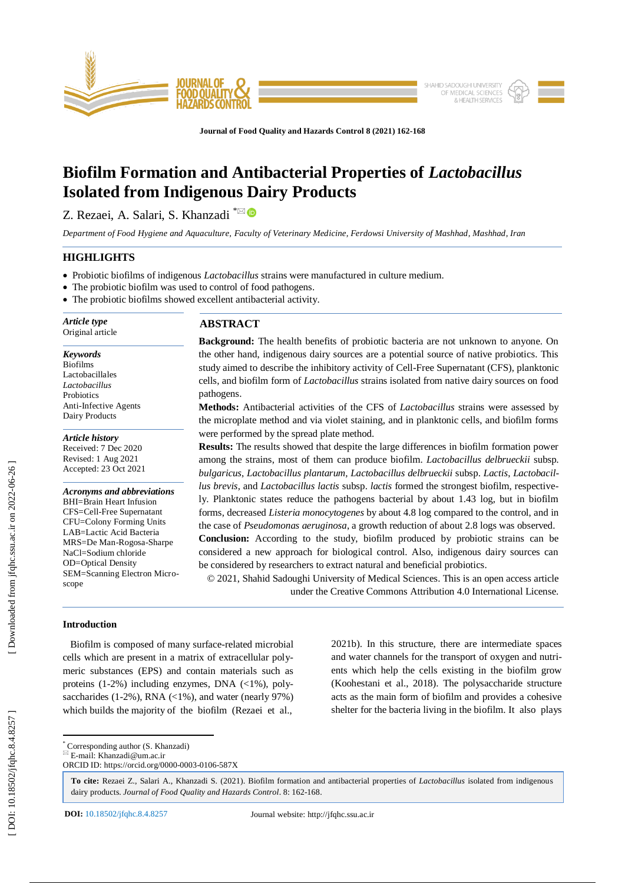

**Journal of Food Quality and Hazards Control 8 (2021) 162 -168**

# **Biofilm Formation and Antibacterial Properties of** *Lactobacillus* **Isolated from Indigenous Dairy Products**

Z. Rezaei, A. Salari, S. Khanzadi <sup>\*⊠</sup>

*Department of Food Hygiene and Aquaculture, Faculty of Veterinary Medicine, Ferdowsi University of Mashhad, Mashhad, Iran*

## **HIGHLIGHTS**

- Probiotic biofilms of indigenous *Lactobacillus* strains were manufactured in culture medium.
- The probiotic biofilm was used to control of food pathogens.
- The probiotic biofilms showed excellent antibacterial activity.

*Article type* Original article

*Keywords* Biofilms Lactobacillales *Lactobacillus* **Probiotics** Anti -Infective Agents Dairy Products

*Article history* Received: 7 Dec 2020

Revised: 1 Aug 2021 Accepted: 23 Oct 2021

*Acronyms and abbreviations* BHI=Brain Heart Infusion CFS=Cell -Free Supernatant CFU=Colony Forming Units LAB=Lactic Acid Bacteria MRS=De Man -Rogosa -Sharpe NaCl=Sodium chloride OD=Optical Density SEM=Scanning Electron Microscope

## **ABSTRACT**

**Background:** The health benefits of probiotic bacteria are not unknown to anyone. On the other hand, indigenous dairy sources are a potential source of native probiotics. This study aimed to describe the inhibitory activity of Cell -Free Supernatant (CFS), planktonic cells, and biofilm form of *Lactobacillus* strains isolated from native dairy sources on food pathogens.

**Methods:** Antibacterial activities of the CFS of *Lactobacillus* strains were assessed by the microplate method and via violet staining, and in planktonic cells, and biofilm forms were performed by the spread plate method.

**Results:** The results showed that despite the large differences in biofilm formation power among the strains, most of them can produce biofilm. *Lactobacillus delbrueckii* subsp*. bulgaricus*, *Lactobacillus plantarum, Lactobacillus delbrueckii* subsp. *Lactis*, *Lactobacillus brevis*, and *Lactobacillus lactis* subsp. *lactis* formed the strongest biofilm, respectively. Planktonic states reduce the pathogens bacterial by about 1.43 log, but in biofilm forms, decreased *Listeria monocytogenes* by about 4.8 log compared to the control, and in the case of *Pseudomonas aeruginosa*, a growth reduction of about 2.8 logs was observed. **Conclusion:** According to the study, biofilm produced by probiotic strains can be considered a new approach for biological control. Also, indigenous dairy sources can be considered by researchers to extract natural and beneficial probiotics.

© 20 2 1, Shahid Sadoughi University of Medical Sciences. This is an open access article under the Creative Commons Attribution 4.0 International License.

## **Introduction**

 Biofilm is composed of many surface -related microbial cells which are present in a matrix of extracellular polymeric substances (EPS) and contain materials such as proteins (1 -2%) including enzymes, DNA (<1%), polysaccharides  $(1-2\%)$ , RNA  $(<1\%)$ , and water (nearly 97%) which builds the majority of the biofilm (Rezaei et al.,

2021b). In this structure, there are intermediate spaces and water channels for the transport of oxygen and nutrients which help the cells existing in the biofilm grow (Koohestani et al., 2018). The polysaccharide structure acts as the main form of biofilm and provides a cohesive shelter for the bacteria living in the biofilm. It also plays

 $\overline{\mathbb{E}}$  E-mail: Khanzadi@um.ac.ir

**To cite:** Rezaei Z., Salari A., Khanzadi S. (2021). Biofilm formation and antibacterial properties of *Lactobacillus* isolated from indigenous dairy products. Journal of Food Quality and Hazards Control. 8: 162-168.

\* Corresponding author (S. Khanzadi)

ORCID ID: https://orcid.org/0000 -0003 -0106 -587X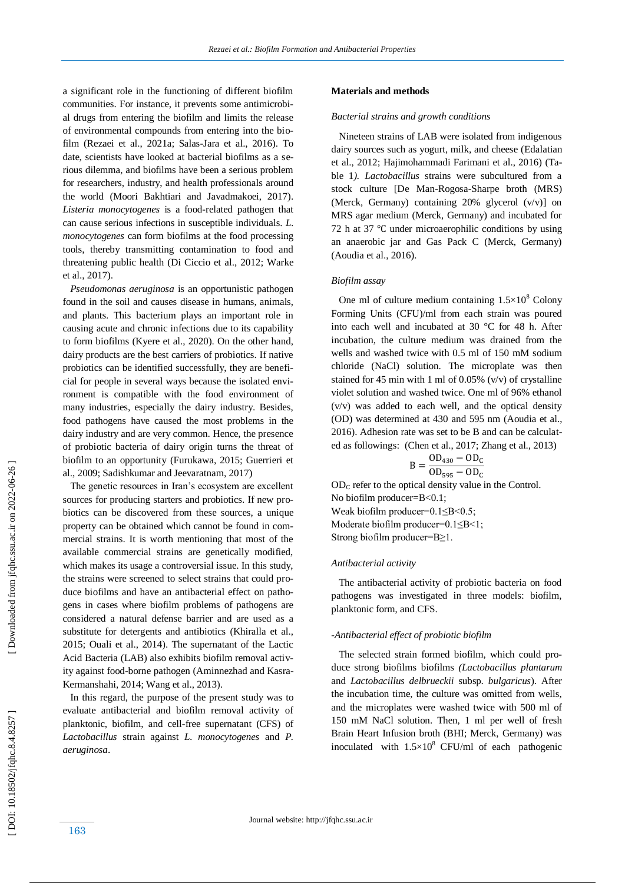a significant role in the functioning of different biofilm communities. For instance, it prevents some antimicrobial drugs from entering the biofilm and limits the release of environmental compounds from entering into the biofilm (Rezaei et al., 2021a; Salas-Jara et al., 2016). To date, scientists have looked at bacterial biofilms as a serious dilemma, and biofilms have been a serious problem for researchers, industry, and health professionals around the world (Moori Bakhtiari and Javadmakoei, 2017) . *Listeria monocytogenes* is a food -related pathogen that can cause serious infections in susceptible individuals. *L. monocytogenes* can form biofilms at the food processing tools, thereby transmitting contamination to food and threatening public health (Di Ciccio et al., 2012; Warke et al., 2017).

 *Pseudomonas aeruginosa* is an opportunistic pathogen found in the soil and causes disease in humans, animals, and plants. This bacterium plays an important role in causing acute and chronic infections due to its capability to form biofilms (Kyere et al., 2020). On the other hand, dairy products are the best carriers of probiotics. If native probiotics can be identified successfully, they are beneficial for people in several ways because the isolated environment is compatible with the food environment of many industries, especially the dairy industry. Besides, food pathogens have caused the most problems in the dairy industry and are very common. Hence, the presence of probiotic bacteria of dairy origin turns the threat of biofilm to an opportunity (Furukawa, 2015; Guerrieri et al., 2009; Sadishkumar and Jeevaratnam, 2017)

 The genetic resources in Iran's ecosystem are excellent sources for producing starters and probiotics. If new probiotics can be discovered from these sources, a unique property can be obtained which cannot be found in commercial strains. It is worth mentioning that most of the available commercial strains are genetically modified, which makes its usage a controversial issue. In this study, the strains were screened to select strains that could produce biofilms and have an antibacterial effect on pathogens in cases where biofilm problems of pathogens are considered a natural defense barrier and are used as a substitute for detergents and antibiotics (Khiralla et al., 2015; Ouali et al., 2014) . The supernatant of the Lactic Acid Bacteria (LAB) also exhibits biofilm removal activity against food-borne pathogen (Aminnezhad and Kasra-Kermanshahi, 2014; Wang et al., 2013).

 In this regard, the purpose of the present study was to evaluate antibacterial and biofilm removal activity of planktonic, biofilm, and cell -free supernatant (CFS) of *Lactobacillus* strain against *L. monocytogenes* and *P. aeruginosa* .

## **Materials and methods**

#### *Bacterial strains and growth conditions*

 Nineteen strains of LAB were isolated from indigenous dairy sources such as yogurt, milk, and cheese (Edalatian et al., 2012; Hajimohammadi Farimani et al., 2016) (Table 1*). Lactobacillus* strains were subcultured from a stock culture [De Man -Rogosa -Sharpe broth (MRS) (Merck, Germany) containing 20% glycerol (v/v)] on MRS agar medium (Merck, Germany) and incubated for 72 h at 37 °C under microaerophilic conditions by using an anaerobic jar and Gas Pack C (Merck, Germany) (Aoudia et al., 2016) .

#### *Biofilm assay*

One ml of culture medium containing  $1.5 \times 10^8$  Colony Forming Units (CFU)/ml from each strain was poured into each well and incubated at 30 °C for 48 h. After incubation, the culture medium was drained from the wells and washed twice with 0.5 ml of 150 mM sodium chloride (NaCl) solution. The microplate was then stained for 45 min with 1 ml of 0.05% (v/v) of crystalline violet solution and washed twice. One ml of 96% ethanol (v/v) was added to each well, and the optical density (OD) was determined at 430 and 595 nm (Aoudia et al., 2016). Adhesion rate was set to be B and can be calculated as followings: (Chen et al., 2017; Zhang et al., 2013)

$$
B = \frac{OD_{430} - OD_C}{OD_{595} - OD_C}
$$

OD <sup>C</sup> refer to the optical density value in the Control. No biofilm producer=B<0.1; Weak biofilm producer=0.1≤B<0.5; Moderate biofilm producer=0.1≤B<1; Strong biofilm producer=B≥1.

## *Antibacterial activity*

 The antibacterial activity of probiotic bacteria on food pathogens was investigated in three models: biofilm, planktonic form, and CFS.

## *-Antibacterial effect of probiotic biofilm*

 The selected strain formed biofilm, which could produce strong biofilms biofilms *(Lactobacillus plantarum* and *Lactobacillus delbrueckii* subsp*. bulgaricus*). After the incubation time, the culture was omitted from wells, and the microplates were washed twice with 500 ml of 150 mM NaCl solution. Then, 1 ml per well of fresh Brain Heart Infusion broth (BHI; Merck, Germany) was inoculated with  $1.5 \times 10^8$  CFU/ml of each pathogenic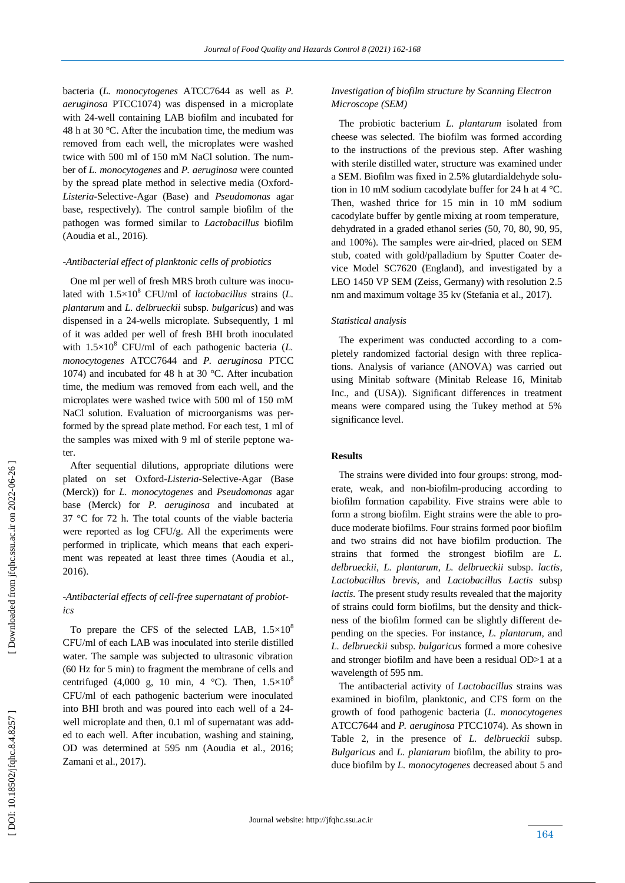bacteria (*L. monocytogenes* ATCC7644 as well as *P. aeruginosa* PTCC1074) was dispensed in a microplate with 24 -well containing LAB biofilm and incubated for 48 h at 30 °C. After the incubation time, the medium was removed from each well, the microplates were washed twice with 500 ml of 150 mM NaCl solution. The number of *L. monocytogenes* and *P. aeruginosa* were counted by the spread plate method in selective media (Oxford - *Listeria* -Selective -Agar (Base) and *Pseudomonas* agar base, respectively). The control sample biofilm of the pathogen was formed similar to *Lactobacillus* biofilm (Aoudia et al., 2016) .

## *-Antibacterial effect of planktonic cells of probiotics*

 One ml per well of fresh MRS broth culture was inoculated with  $1.5\times10^8$  CFU/ml of *lactobacillus* strains (*L. plantarum* and *L. delbrueckii* subsp*. bulgaricus*) and was dispensed in a 24 -wells microplate. Subsequently, 1 ml of it was added per well of fresh BHI broth inoculated with 1.5×10 <sup>8</sup> CFU/ml of each pathogenic bacteria (*L. monocytogenes* ATCC7644 and *P. aeruginosa* PTCC 1074) and incubated for 48 h at 30 °C. After incubation time, the medium was removed from each well, and the microplates were washed twice with 500 ml of 150 mM NaCl solution. Evaluation of microorganisms was performed by the spread plate method. For each test, 1 ml of the samples was mixed with 9 ml of sterile peptone water.

 After sequential dilutions, appropriate dilutions were plated on set Oxford-Listeria-Selective-Agar (Base (Merck)) for *L. monocytogenes* and *Pseudomonas* agar base (Merck) for *P. aeruginosa* and incubated at 37 °C for 72 h. The total counts of the viable bacteria were reported as log CFU/g. All the experiments were performed in triplicate, which means that each experiment was repeated at least three times (Aoudia et al., 2016) .

## *-Antibacterial effects of cell -free supernatant of probiot* $i$  $c$   $s$

To prepare the CFS of the selected LAB,  $1.5 \times 10^8$ CFU/ml of each LAB was inoculated into sterile distilled water. The sample was subjected to ultrasonic vibration (60 Hz for 5 min) to fragment the membrane of cells and centrifuged (4,000 g, 10 min, 4  $^{\circ}$ C). Then,  $1.5 \times 10^{8}$ CFU/ml of each pathogenic bacterium were inoculated into BHI broth and was poured into each well of a 24 well microplate and then, 0.1 ml of supernatant was added to each well. After incubation, washing and staining, OD was determined at 595 nm (Aoudia et al., 2016; Zamani et al., 2017) .

## *Investigation of biofilm structure by Scanning Electron Microscope (SEM)*

 The probiotic bacterium *L. plantarum* isolated from cheese was selected. The biofilm was formed according to the instructions of the previous step. After washing with sterile distilled water, structure was examined under a SEM. Biofilm was fixed in 2.5% glutardialdehyde solution in 10 mM sodium cacodylate buffer for 24 h at 4 °C. Then, washed thrice for 15 min in 10 mM sodium cacodylate buffer by gentle mixing at room temperature, dehydrated in a graded ethanol series (50, 70, 80, 90, 95, and 100%). The samples were air -dried, placed on SEM stub, coated with gold/palladium by Sputter Coater device Model SC7620 (England), and investigated by a LEO 1450 VP SEM (Zeiss, Germany) with resolution 2.5 nm and maximum voltage 35 kv (Stefania et al., 2017).

## *Statistical analysis*

 The experiment was conducted according to a completely randomized factorial design with three replications. Analysis of variance (ANOVA) was carried out using Minitab software (Minitab Release 16, Minitab Inc., and (USA)). Significant differences in treatment means were compared using the Tukey method at 5% significance level.

## **Results**

 The strains were divided into four groups: strong, moderate, weak, and non-biofilm-producing according to biofilm formation capability. Five strains were able to form a strong biofilm. Eight strains were the able to produce moderate biofilms. Four strains formed poor biofilm and two strains did not have biofilm production. The strains that formed the strongest biofilm are *L. delbrueckii*, *L. plantarum*, *L. delbrueckii* subsp. *lactis*, *Lactobacillus brevis*, and *Lactobacillus Lactis* subsp *lactis.* The present study results revealed that the majority of strains could form biofilms, but the density and thickness of the biofilm formed can be slightly different depending on the species. For instance, *L. plantarum,* and *L. delbrueckii* subsp*. bulgaricus* formed a more cohesive and stronger biofilm and have been a residual OD>1 at a wavelength of 595 nm .

 The antibacterial activity of *Lactobacillus* strains was examined in biofilm, planktonic, and CFS form on the growth of food pathogenic bacteria (*L. monocytogenes* ATCC7644 and *P. aeruginosa* PTCC1074). As shown in Table 2, in the presence of *L. delbrueckii* subsp. *Bulgaricus* and *L* . *plantarum* biofilm, the ability to produce biofilm by *L. monocytogenes* decreased about 5 and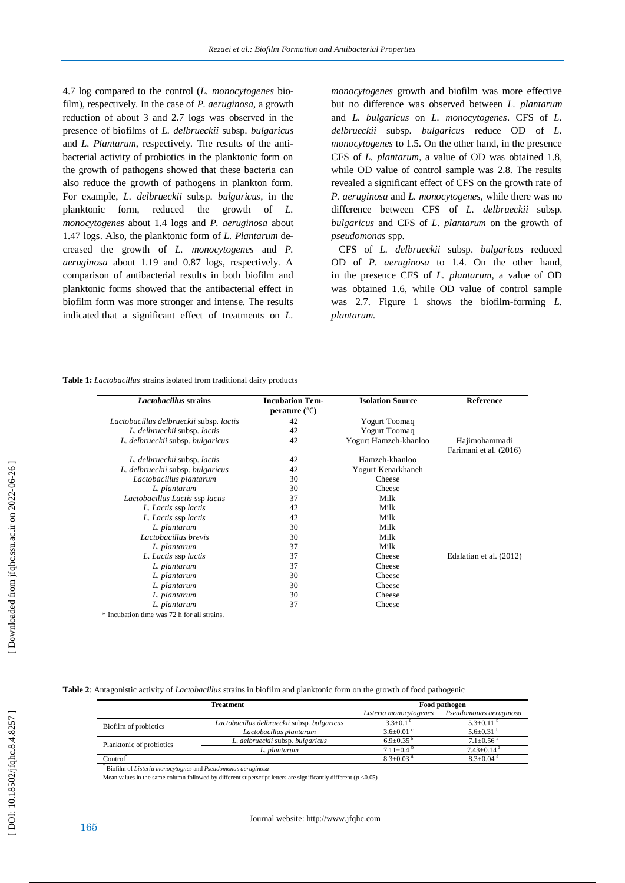4.7 log compared to the control (*L. monocytogenes* biofilm), respectively. In the case of *P. aeruginosa,* a growth reduction of about 3 and 2.7 logs was observed in the presence of biofilms of *L. delbrueckii* subsp*. bulgaricus*  and *L. Plantarum*, respectively. The results of the antibacterial activity of probiotics in the planktonic form on the growth of pathogens showed that these bacteria can also reduce the growth of pathogens in plankton form. For example, *L. delbrueckii* subsp. *bulgaricus,* in the planktonic form, reduced the growth of *L. monocytogenes* about 1.4 logs and *P. aeruginosa* about 1.47 logs. Also, the planktonic form of *L. Plantarum* decreased the growth of *L. monocytogenes* and *P. aeruginosa* about 1.19 and 0.87 logs, respectively. A comparison of antibacterial results in both biofilm and planktonic forms showed that the antibacterial effect in biofilm form was more stronger and intense. The results indicated that a significant effect of treatments on *L.* 

*monocytogenes* growth and biofilm was more effective but no difference was observed between *L. plantarum* and *L. bulgaricus* on *L. monocytogenes*. CFS of *L. delbrueckii* subsp. *bulgaricus* reduce OD of *L. monocytogenes* to 1.5. On the other hand, in the presence CFS of *L. plantarum*, a value of OD was obtained 1.8, while OD value of control sample was 2.8. The results revealed a significant effect of CFS on the growth rate of *P. aeruginosa* and *L. monocytogenes*, while there was no difference between CFS of *L. delbrueckii* subsp*. bulgaricus* and CFS of *L* . *plantarum* on the growth of *pseudomonas* spp.

 CFS of *L. delbrueckii* subsp. *bulgaricus* reduce d OD of *P. aeruginosa* to 1.4. On the other hand, in the presence CFS of *L. plantarum*, a value of OD was obtained 1.6, while OD value of control sample was 2.7. Figure 1 shows the biofilm -forming *L. plantarum.*

**Table 1:** *Lactobacillus* strains isolated from traditional dairy products

| Lactobacillus strains                   | <b>Incubation Tem-</b><br>perature $(^{\circ}C)$ | <b>Isolation Source</b> | Reference                               |
|-----------------------------------------|--------------------------------------------------|-------------------------|-----------------------------------------|
| Lactobacillus delbrueckii subsp. lactis | 42                                               | <b>Yogurt</b> Toomaq    |                                         |
| L. delbrueckii subsp. lactis            | 42                                               | <b>Yogurt Toomaq</b>    |                                         |
| L. delbrueckii subsp. bulgaricus        | 42                                               | Yogurt Hamzeh-khanloo   | Hajimohammadi<br>Farimani et al. (2016) |
| L. delbrueckii subsp. lactis            | 42                                               | Hamzeh-khanloo          |                                         |
| L. delbrueckii subsp. bulgaricus        | 42                                               | Yogurt Kenarkhaneh      |                                         |
| Lactobacillus plantarum                 | 30                                               | Cheese                  |                                         |
| L. plantarum                            | 30                                               | Cheese                  |                                         |
| Lactobacillus Lactis ssp lactis         | 37                                               | Milk                    |                                         |
| L. Lactis ssp lactis                    | 42                                               | Milk                    |                                         |
| L. Lactis ssp lactis                    | 42                                               | Milk                    |                                         |
| L. plantarum                            | 30                                               | Milk                    |                                         |
| Lactobacillus brevis                    | 30                                               | Milk                    |                                         |
| L. plantarum                            | 37                                               | Milk                    |                                         |
| L. Lactis ssp lactis                    | 37                                               | Cheese                  | Edalatian et al. (2012)                 |
| L. plantarum                            | 37                                               | Cheese                  |                                         |
| L. plantarum                            | 30                                               | Cheese                  |                                         |
| L. plantarum                            | 30                                               | Cheese                  |                                         |
| L. plantarum                            | 30                                               | Cheese                  |                                         |
| L. plantarum                            | 37                                               | Cheese                  |                                         |

\* Incubation time was 72 h for all strains.

**Table 2**: Antagonistic activity of *Lactobacillus* strains in biofilm and planktonic form on the growth of food pathogenic

| <b>Treatment</b>         |                                             | Food pathogen             |                             |
|--------------------------|---------------------------------------------|---------------------------|-----------------------------|
|                          |                                             | Listeria monocytogenes    | Pseudomonas aeruginosa      |
| Biofilm of probiotics    | Lactobacillus delbrueckii subsp. bulgaricus | $3.3+0.1$ <sup>c</sup>    | $5.3 \pm 0.11$ <sup>b</sup> |
|                          | Lactobacillus plantarum                     | $3.6+0.01$ °              | $5.6 \pm 0.31$              |
| Planktonic of probiotics | L. delbrueckii subsp. bulgaricus            | $6.9+0.35^{b}$            | $7.1 + 0.56$ <sup>a</sup>   |
|                          | L. plantarum                                | $7.11+0.4b$               | $7.43+0.14^{\text{a}}$      |
| Control`                 |                                             | $8.3 + 0.03$ <sup>a</sup> | $8.3 + 0.04$ <sup>a</sup>   |

\* Biofilm of *Listeria monocytognes* and *Pseudomonas aeruginosa*

Mean values in the same column followed by different superscript letters are significantly different  $(p \le 0.05)$ 

165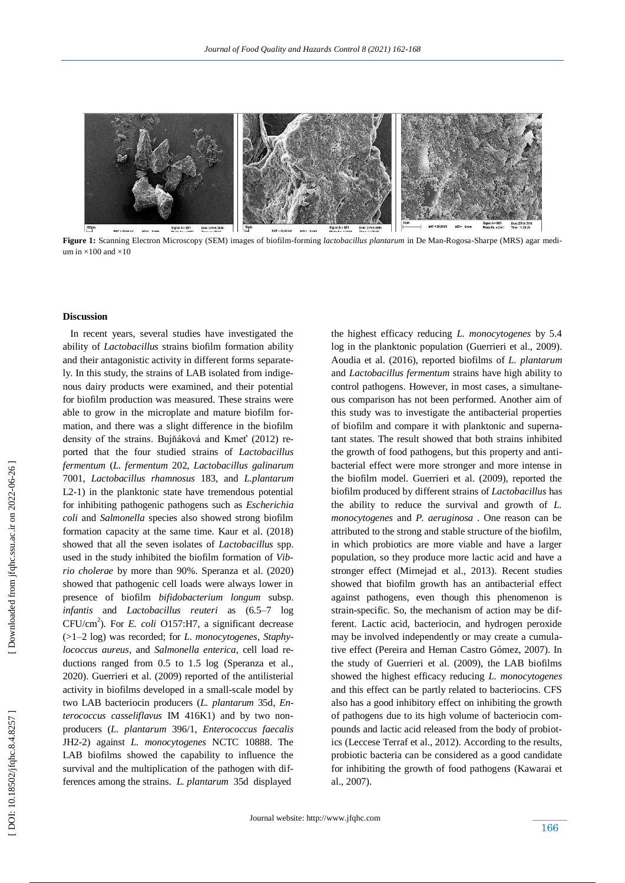

**Figure 1:** Scanning Electron Microscopy (SEM) images of biofilm -forming *lactobacillus plantarum* in De Man -Rogosa -Sharpe (MRS) agar medium in  $\times$ 100 and  $\times$ 10

## **Discussion**

 In recent years, several studies have investigated the ability of *Lactobacillus* strains biofilm formation ability and their antagonistic activity in different forms separately. In this study, the strains of LAB isolated from indigenous dairy products were examined, and their potential for biofilm production was measured. These strains were able to grow in the microplate and mature biofilm formation, and there was a slight difference in the biofilm density of the strains. Bujňáková and Kmeť (2012) reported that the four studied strains of *Lactobacillus fermentum* (*L. fermentum* 202, *Lactobacillus galinarum* 7001, *Lactobacillus rhamnosus* 183, and *L.plantarum* L2 -1) in the planktonic state have tremendous potential for inhibiting pathogenic pathogens such as *Escherichia coli* and *Salmonella* species also showed strong biofilm formation capacity at the same time. Kaur et al. (2018) showed that all the seven isolates of *Lactobacillus* spp. used in the study inhibited the biofilm formation of *Vib rio cholerae* by more than 90%. Speranza et al. (2020) showed that pathogenic cell loads were always lower in presence of biofilm *bifidobacterium longum* subsp. *infantis* and *Lactobacillus reuteri* as (6.5 –7 log CFU/cm 2 ). For *E. coli* O157:H7, a significant decrease (>1 –2 log) was recorded; for *L. monocytogenes*, *Staphylococcus aureus*, and *Salmonella enterica*, cell load reductions ranged from 0.5 to 1.5 log (Speranza et al., 2020) . Guerrieri et al. (2009) reported of the antilisterial activity in biofilms developed in a small -scale model by two LAB bacteriocin producers (*L. plantarum* 35d, *Enterococcus casseliflavus* IM 416K1) and by two nonproducers (*L. plantarum* 396/1, *Enterococcus faecalis* JH2 -2) against *L. monocytogenes* NCTC 10888. The LAB biofilms showed the capability to influence the survival and the multiplication of the pathogen with differences among the strains. *L. plantarum* 35d displayed

the highest efficacy reducing *L. monocytogenes* by 5.4 log in the planktonic population (Guerrieri et al., 2009). Aoudia et al. (2016), reported biofilms of *L. plantarum* and *Lactobacillus fermentum* strains have high ability to control pathogens. However, in most cases, a simultaneous comparison has not been performed. Another aim of this study was to investigate the antibacterial properties of biofilm and compare it with planktonic and supernatant states. The result showed that both strains inhibited the growth of food pathogens, but this property and antibacterial effect were more stronger and more intense in the biofilm model. Guerrieri et al. (2009), reported the biofilm produced by different strains of *Lactobacillus* has the ability to reduce the survival and growth of *L. monocytogenes* and *P. aeruginosa* . One reason can be attributed to the strong and stable structure of the biofilm, in which probiotics are more viable and have a larger population, so they produce more lactic acid and have a stronger effect (Mirnejad et al., 2013). Recent studies showed that biofilm growth has an antibacterial effect against pathogens, even though this phenomenon is strain -specific. So, the mechanism of action may be different. Lactic acid, bacteriocin, and hydrogen peroxide may be involved independently or may create a cumulative effect (Pereira and Heman Castro Gómez, 2007). In the study of Guerrieri et al. (2009), the LAB biofilms showed the highest efficacy reducing *L. monocytogenes* and this effect can be partly related to bacteriocins. CFS also has a good inhibitory effect on inhibiting the growth of pathogens due to its high volume of bacteriocin compounds and lactic acid released from the body of probiotics (Leccese Terraf et al., 2012). According to the results, probiotic bacteria can be considered as a good candidate for inhibiting the growth of food pathogens (Kawarai et al., 2007) .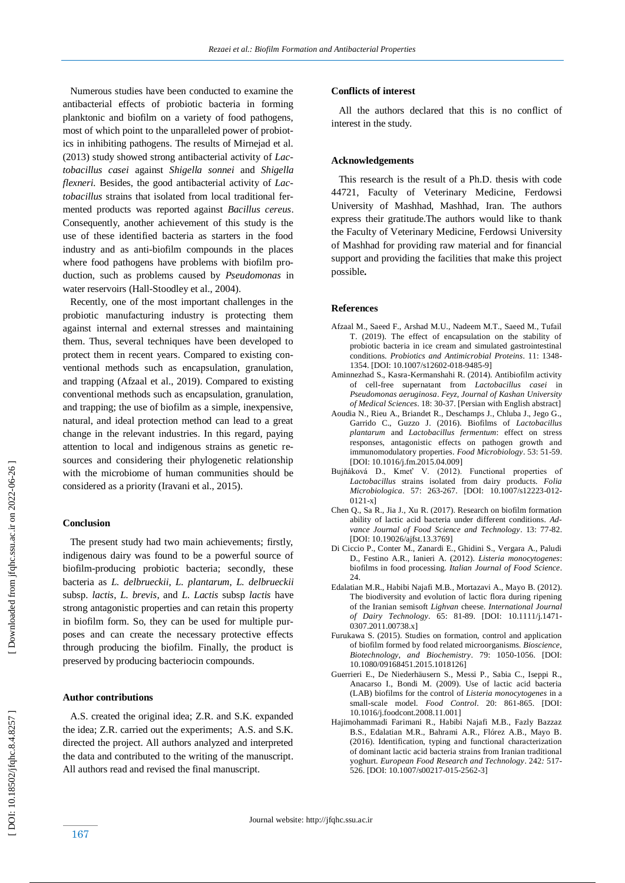Numerous studies have been conducted to examine the antibacterial effects of probiotic bacteria in forming planktonic and biofilm on a variety of food pathogens, most of which point to the unparalleled power of probiotics in inhibiting pathogens. The results of Mirnejad et al. (2013) study showed strong antibacterial activity of *Lactobacillus casei* against *Shigella sonnei* and *Shigella flexneri.* Besides, the good antibacterial activity of *Lactobacillus* strains that isolated from local traditional fermented products was reported against *Bacillus cereus*. Consequently, another achievement of this study is the use of these identified bacteria as starters in the food industry and as anti -biofilm compounds in the places where food pathogens have problems with biofilm production, such as problems caused by *Pseudomonas* in water reservoirs (Hall -Stoodley et al., 2004).

 Recently, one of the most important challenges in the probiotic manufacturing industry is protecting them against internal and external stresses and maintaining them. Thus, several techniques have been developed to protect them in recent years. Compared to existing conventional methods such as encapsulation, granulation, and trapping (Afzaal et al., 2019). Compared to existing conventional methods such as encapsulation, granulation, and trapping; the use of biofilm as a simple, inexpensive, natural, and ideal protection method can lead to a great change in the relevant industries. In this regard, paying attention to local and indigenous strains as genetic resources and considering their phylogenetic relationship with the microbiome of human communities should be considered as a priority (Iravani et al., 2015) .

## **Conclusion**

 The present study had two main achievements; firstly, indigenous dairy was found to be a powerful source of biofilm -producing probiotic bacteria; secondly, these bacteria as *L. delbrueckii*, *L. plantarum*, *L. delbrueckii* subsp. *lactis*, *L. brevis*, and *L. Lactis* subsp *lactis* have strong antagonistic properties and can retain this property in biofilm form. So, they can be used for multiple purposes and can create the necessary protective effects through producing the biofilm. Finally, the product is preserved by producing bacteriocin compounds.

## **Author contributions**

 A.S. created the original idea; Z.R. and S.K. expanded the idea; Z.R. carried out the experiments; A.S. and S.K. directed the project. All authors analyzed and interpreted the data and contributed to the writing of the manuscript. All authors read and revised the final manuscript.

#### **Conflicts of interest**

 All the authors declared that this is no conflict of interest in the study.

#### **Acknowledgements**

 This research is the result of a Ph.D. thesis with code 44721, Faculty of Veterinary Medicine, Ferdowsi University of Mashhad, Mashhad, Iran. The authors express their gratitude.The authors would like to thank the Faculty of Veterinary Medicine, Ferdowsi University of Mashhad for providing raw material and for financial support and providing the facilities that make this project possible **.**

## **Reference s**

- Afzaal M., Saeed F., Arshad M.U., Nadeem M.T., Saeed M., Tufail T. (2019). The effect of encapsulation on the stability of probiotic bacteria in ice cream and simulated gastrointestinal conditions. *Probiotics and Antimicrobial Proteins*. 11: 1348 - 1354. [DOI: 10.1007/s12602-018-9485-9]
- Aminnezhad S., Kasra -Kermanshahi R. (2014). Antibiofilm activity of cell -free supernatant from *Lactobacillus casei* in *Pseudomonas aeruginosa*. *Feyz, Journal of Kashan University of Medical Sciences*. 18: 30 -37. [Persian with English abstract]
- Aoudia N., Rieu A., Briandet R., Deschamps J., Chluba J., Jego G., Garrido C., Guzzo J. (2016). Biofilms of *Lactobacillus plantarum* and *Lactobacillus fermentum*: effect on stress responses, antagonistic effects on pathogen growth and immunomodulatory properties. *Food Microbiology*. 53: 51 -59. [DOI: 10.1016/j.fm.2015.04.009]
- Bujňáková D., Kmeť V. (2012). Functional properties of *Lactobacillus* strains isolated from dairy products. *Folia Microbiologica*. 57: 263 -267. [DOI: 10.1007/s12223 -012 - 0121-x]
- Chen Q., Sa R., Jia J., Xu R. (2017). Research on biofilm formation ability of lactic acid bacteria under different conditions. *Advance Journal of Food Science and Technology*. 13: 77-82. [DOI: 10.19026/ajfst.13.3769 ]
- Di Ciccio P., Conter M., Zanardi E., Ghidini S., Vergara A., Paludi D., Festino A.R., Ianieri A. (2012). *Listeria monocytogenes*: biofilms in food processing. *Italian Journal of Food Science*. 24.
- Edalatian M.R., Habibi Najafi M.B., Mortazavi A., Mayo B. (2012). The biodiversity and evolution of lactic flora during ripening of the Iranian semisoft *Lighvan* cheese. *International Journal of Dairy Technology*. 65: 81 -89. [DOI: 10.1111/j.1471 - 0307.2011.00738.x ]
- Furukawa S. (2015). Studies on formation, control and application of biofilm formed by food related microorganisms. *Bioscience, Biotechnology, and Biochemistry*. 79: 1050 -1056. [DOI: 10.1080/09168451.2015.1018126]
- Guerrieri E., De Niederhäusern S., Messi P., Sabia C., Iseppi R., Anacarso I., Bondi M. (2009). Use of lactic acid bacteria (LAB) biofilms for the control of *Listeria monocytogenes* in a small-scale model. **Food Control.** 20: 861-865. [DOI: [10.1016/j.foodcont.2008.11.001](http://dx.doi.org/10.1016/j.foodcont.2008.11.001) ]
- Hajimohammadi Farimani R., Habibi Najafi M.B., Fazly Bazzaz B.S., Edalatian M.R., Bahrami A.R., Flórez A.B., Mayo B. (2016). Identification, typing and functional characterization of dominant lactic acid bacteria strains from Iranian traditional yoghurt. *European Food Research and Technology*. 242 *:* 517 - 526. [DOI: 10.1007/s00217-015-2562-3]